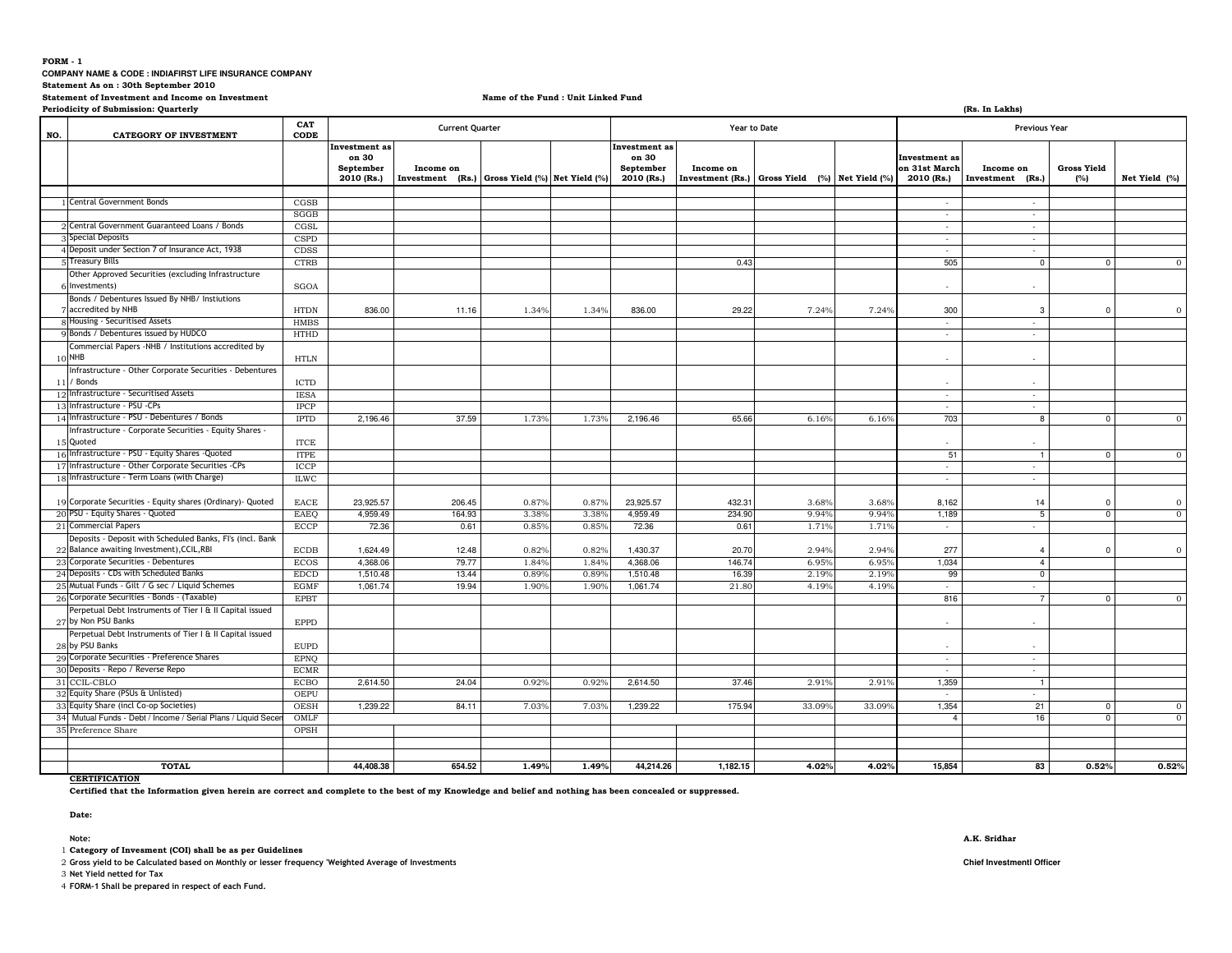## **FORM - 1**

**COMPANY NAME & CODE : INDIAFIRST LIFE INSURANCE COMPANY** 

**Statement As on : 30th September 2010**

**Statement of Investment and Income on Investment**

**Name of the Fund : Unit Linked Fund**

|     | Periodicity of Submission: Quarterly                                                                    |                     |                                                   |                                                             |       |       |                                                          |                     |                                                |                |                                                     | (Rs. In Lakhs)                |                           |                |
|-----|---------------------------------------------------------------------------------------------------------|---------------------|---------------------------------------------------|-------------------------------------------------------------|-------|-------|----------------------------------------------------------|---------------------|------------------------------------------------|----------------|-----------------------------------------------------|-------------------------------|---------------------------|----------------|
| NO. | <b>CATEGORY OF INVESTMENT</b>                                                                           | CAT<br>CODE         | <b>Current Quarter</b>                            |                                                             |       |       |                                                          | <b>Year to Date</b> |                                                |                | <b>Previous Year</b>                                |                               |                           |                |
|     |                                                                                                         |                     | Investment as<br>on 30<br>September<br>2010 (Rs.) | Income on<br>Investment (Rs.) Gross Yield (%) Net Yield (%) |       |       | <b>Investment</b> as<br>on 30<br>September<br>2010 (Rs.) | Income on           | Investment (Rs.) Gross Yield (%) Net Yield (%) |                | <b>Investment</b> as<br>on 31st March<br>2010 (Rs.) | Income on<br>Investment (Rs.) | <b>Gross Yield</b><br>(%) | Net Yield (%)  |
|     |                                                                                                         |                     |                                                   |                                                             |       |       |                                                          |                     |                                                |                |                                                     |                               |                           |                |
|     | <b>Central Government Bonds</b>                                                                         | CGSB                |                                                   |                                                             |       |       |                                                          |                     |                                                |                |                                                     | $\sim$                        |                           |                |
|     | 2 Central Government Guaranteed Loans / Bonds                                                           | SGGB                |                                                   |                                                             |       |       |                                                          |                     |                                                |                | $\sim$                                              | $\sim$                        |                           |                |
|     | <b>Special Deposits</b>                                                                                 | CGSL                |                                                   |                                                             |       |       |                                                          |                     |                                                |                | $\sim$                                              | $\sim$                        |                           |                |
|     | 4 Deposit under Section 7 of Insurance Act, 1938                                                        | <b>CSPD</b>         |                                                   |                                                             |       |       |                                                          |                     |                                                |                | $\sim$                                              | $\sim$                        |                           |                |
|     | <b>Treasury Bills</b>                                                                                   | CDSS<br><b>CTRB</b> |                                                   |                                                             |       |       |                                                          | 0.43                |                                                |                | $\sim$<br>505                                       | $\sim$<br>$\mathbf 0$         |                           | $\mathbf{O}$   |
|     |                                                                                                         |                     |                                                   |                                                             |       |       |                                                          |                     |                                                |                |                                                     |                               | $\overline{\mathbf{0}}$   |                |
|     | Other Approved Securities (excluding Infrastructure<br>Investments)                                     | SGOA                |                                                   |                                                             |       |       |                                                          |                     |                                                |                | $\sim$                                              | $\sim$                        |                           |                |
|     | Bonds / Debentures Issued By NHB/ Instiutions                                                           |                     |                                                   |                                                             |       |       |                                                          |                     |                                                |                |                                                     |                               |                           |                |
|     | accredited by NHB                                                                                       | <b>HTDN</b>         | 836.00                                            | 11.16                                                       | 1.34% | 1.34% | 836.00                                                   | 29.22               | 7.24%                                          | 7.24%          | 300                                                 | 3                             | $\overline{\mathbf{0}}$   | $\mathbf{0}$   |
|     | 8 Housing - Securitised Assets                                                                          | <b>HMBS</b>         |                                                   |                                                             |       |       |                                                          |                     |                                                |                | $\sim$                                              | $\sim$                        |                           |                |
|     | Bonds / Debentures issued by HUDCO                                                                      | <b>HTHD</b>         |                                                   |                                                             |       |       |                                                          |                     |                                                |                |                                                     |                               |                           |                |
|     | Commercial Papers -NHB / Institutions accredited by<br>$10$ NHB                                         | <b>HTLN</b>         |                                                   |                                                             |       |       |                                                          |                     |                                                |                | $\mathbf{r}$                                        | $\sim$                        |                           |                |
|     | Infrastructure - Other Corporate Securities - Debentures                                                |                     |                                                   |                                                             |       |       |                                                          |                     |                                                |                |                                                     |                               |                           |                |
|     | 11 / Bonds                                                                                              | <b>ICTD</b>         |                                                   |                                                             |       |       |                                                          |                     |                                                |                |                                                     |                               |                           |                |
|     | 12 Infrastructure - Securitised Assets                                                                  | <b>IESA</b>         |                                                   |                                                             |       |       |                                                          |                     |                                                |                | $\sim$                                              | $\sim$                        |                           |                |
|     | 13 Infrastructure - PSU - CPs                                                                           | <b>IPCP</b>         |                                                   |                                                             |       |       |                                                          |                     |                                                |                | $\sim$                                              | $\sim$                        |                           |                |
|     | 14 Infrastructure - PSU - Debentures / Bonds                                                            | <b>IPTD</b>         | 2,196.46                                          | 37.59                                                       | 1.73% | 1.73% | 2,196.46                                                 | 65.66               | 6.16%                                          | 6.16%          | 703                                                 | 8                             | $\mathbf 0$               | $\mathbf{0}$   |
|     | Infrastructure - Corporate Securities - Equity Shares -<br>15 Quoted                                    | <b>ITCE</b>         |                                                   |                                                             |       |       |                                                          |                     |                                                |                |                                                     |                               |                           |                |
|     | 16 Infrastructure - PSU - Equity Shares - Quoted                                                        | <b>ITPE</b>         |                                                   |                                                             |       |       |                                                          |                     |                                                |                | 51                                                  | $\mathbf{1}$                  | $\overline{0}$            | $\overline{0}$ |
|     | 17 Infrastructure - Other Corporate Securities -CPs                                                     | ICCP                |                                                   |                                                             |       |       |                                                          |                     |                                                |                | $\sim$                                              | $\sim$                        |                           |                |
|     | 18 Infrastructure - Term Loans (with Charge)                                                            | <b>ILWC</b>         |                                                   |                                                             |       |       |                                                          |                     |                                                |                | $\sim$                                              | $\sim$                        |                           |                |
|     | 19 Corporate Securities - Equity shares (Ordinary) - Quoted                                             | EACE                | 23,925.57                                         | 206.45                                                      | 0.87% | 0.87% | 23,925.57                                                | 432.31              | 3.68%                                          | 3.68%          | 8,162                                               | 14                            | $^{\circ}$                | $\overline{0}$ |
|     | 20 PSU - Equity Shares - Quoted                                                                         | EAEQ                | 4,959.49                                          | 164.93                                                      | 3.38% | 3.38% | 4,959.49                                                 | 234.90              | 9.94%                                          | 9.94%          | 1,189                                               | $5\overline{)}$               | $\overline{0}$            | $\mathbf{O}$   |
|     | 21 Commercial Papers                                                                                    | <b>ECCP</b>         | 72.36                                             | 0.61                                                        | 0.85% | 0.85% | 72.36                                                    | 0.61                | 1.71%                                          | 1.71%          | $\sim$                                              | $\sim$                        |                           |                |
|     | Deposits - Deposit with Scheduled Banks, FI's (incl. Bank<br>22 Balance awaiting Investment), CCIL, RBI | <b>ECDB</b>         | 1,624.49                                          | 12.48                                                       | 0.82% | 0.82% | 1.430.37                                                 | 20.70               | 2.94%                                          | $2.94^{\circ}$ | 277                                                 |                               | $\Omega$                  | $\overline{0}$ |
|     | 23 Corporate Securities - Debentures                                                                    | <b>ECOS</b>         | 4,368.06                                          | 79.77                                                       | 1.84% | 1.84% | 4,368.06                                                 | 146.7               | 6.95%                                          | 6.95%          | 1,034                                               | $\overline{4}$                |                           |                |
|     | 24 Deposits - CDs with Scheduled Banks                                                                  | <b>EDCD</b>         | 1,510.48                                          | 13.44                                                       | 0.89% | 0.89% | 1,510.48                                                 | 16.39               | 2.19%                                          | 2.19%          | 99                                                  | $\overline{0}$                |                           |                |
|     | 25 Mutual Funds - Gilt / G sec / Liquid Schemes                                                         | <b>EGMF</b>         | 1,061.74                                          | 19.94                                                       | 1.90% | 1.90% | 1,061.74                                                 | 21.80               | 4.19%                                          | 4.19%          | $\overline{\phantom{a}}$                            | $\sim$                        |                           |                |
|     | 26 Corporate Securities - Bonds - (Taxable)                                                             | <b>EPBT</b>         |                                                   |                                                             |       |       |                                                          |                     |                                                |                | 816                                                 | $\overline{7}$                | $\mathbf 0$               | $\mathbf{0}$   |
|     | Perpetual Debt Instruments of Tier I & II Capital issued<br>27 by Non PSU Banks                         | <b>EPPD</b>         |                                                   |                                                             |       |       |                                                          |                     |                                                |                |                                                     |                               |                           |                |
|     | Perpetual Debt Instruments of Tier I & II Capital issued<br>28 by PSU Banks                             | <b>EUPD</b>         |                                                   |                                                             |       |       |                                                          |                     |                                                |                | $\sim$                                              |                               |                           |                |
|     | 29 Corporate Securities - Preference Shares                                                             | <b>EPNO</b>         |                                                   |                                                             |       |       |                                                          |                     |                                                |                | $\sim$                                              | $\sim$                        |                           |                |
|     | 30 Deposits - Repo / Reverse Repo                                                                       | <b>ECMR</b>         |                                                   |                                                             |       |       |                                                          |                     |                                                |                | $\sim$                                              | $\sim$                        |                           |                |
|     | 31 CCIL-CBLO                                                                                            | <b>ECBO</b>         | 2,614.50                                          | 24.04                                                       | 0.92% | 0.92% | 2,614.50                                                 | 37.46               | 2.91%                                          | 2.91%          | 1,359                                               | $\mathbf{1}$                  |                           |                |
|     | 32 Equity Share (PSUs & Unlisted)                                                                       | <b>OEPU</b>         |                                                   |                                                             |       |       |                                                          |                     |                                                |                | $\sim$                                              | $\sim$                        |                           |                |
|     | 33 Equity Share (incl Co-op Societies)                                                                  | OESH                | 1,239.22                                          | 84.11                                                       | 7.03% | 7.03% | 1,239.22                                                 | 175.9               | 33.09%                                         | 33.099         | 1,354                                               | 21                            | $\mathbf 0$               | $\mathbf{0}$   |
|     | 34 Mutual Funds - Debt / Income / Serial Plans / Liquid Sece                                            | OMLF                |                                                   |                                                             |       |       |                                                          |                     |                                                |                | $\overline{a}$                                      | 16                            | $^{\circ}$                | $\mathbf{0}$   |
|     | 35 Preference Share                                                                                     | OPSH                |                                                   |                                                             |       |       |                                                          |                     |                                                |                |                                                     |                               |                           |                |
|     |                                                                                                         |                     |                                                   |                                                             |       |       |                                                          |                     |                                                |                |                                                     |                               |                           |                |
|     | <b>TOTAL</b>                                                                                            |                     | 44,408.38                                         | 654.52                                                      | 1.49% | 1.49% | 44,214.26                                                | 1,182.15            | 4.02%                                          | 4.02%          | 15,854                                              | 83                            | 0.52%                     | 0.52%          |

# **CERTIFICATION**

**Certified that the Information given herein are correct and complete to the best of my Knowledge and belief and nothing has been concealed or suppressed.**

**Date:**

1 **Category of Invesment (COI) shall be as per Guidelines**

2 **Gross yield to be Calculated based on Monthly or lesser frequency 'Weighted Average of Investments Chief Investmentl Officer**

3 **Net Yield netted for Tax**

4 **FORM-1 Shall be prepared in respect of each Fund.**

#### **Note: A.K. Sridhar**